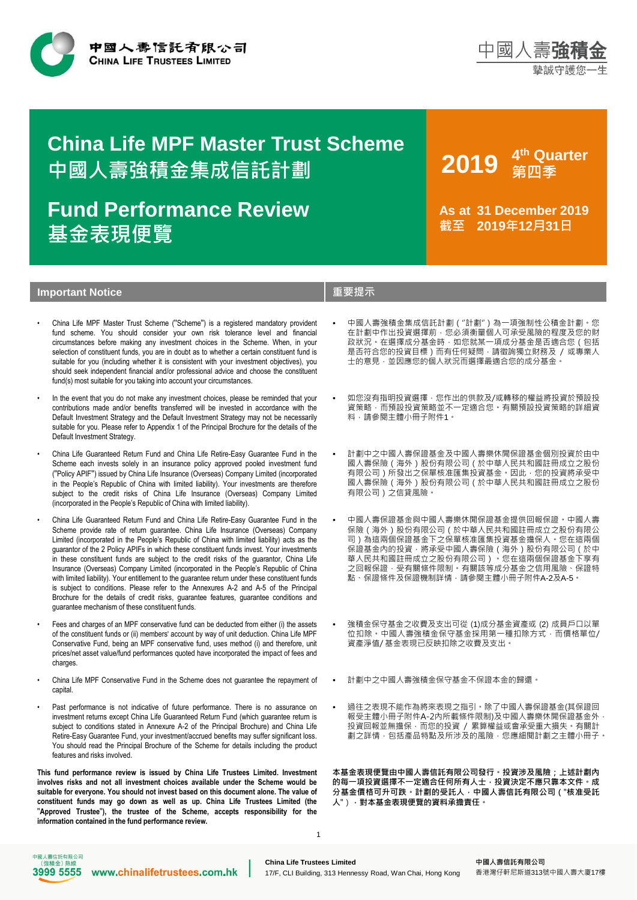



# **中國人壽強積金集成信託計劃 China Life MPF Master Trust Scheme**

**基金表現便覽 Fund Performance Review** **2019 <sup>4</sup> th Quarter 第四季**

**As at 31 December 2019 截至 2019年12月31日**

# **Important Notice 重要提示**

- China Life MPF Master Trust Scheme (''Scheme'') is a registered mandatory provident fund scheme. You should consider your own risk tolerance level and financial circumstances before making any investment choices in the Scheme. When, in your selection of constituent funds, you are in doubt as to whether a certain constituent fund is suitable for you (including whether it is consistent with your investment objectives), you should seek independent financial and/or professional advice and choose the constituent fund(s) most suitable for you taking into account your circumstances.
- In the event that you do not make any investment choices, please be reminded that your contributions made and/or benefits transferred will be invested in accordance with the Default Investment Strategy and the Default Investment Strategy may not be necessarily suitable for you. Please refer to Appendix 1 of the Principal Brochure for the details of the Default Investment Strategy.
- China Life Guaranteed Return Fund and China Life Retire-Easy Guarantee Fund in the Scheme each invests solely in an insurance policy approved pooled investment fund (''Policy APIF'') issued by China Life Insurance (Overseas) Company Limited (incorporated in the People's Republic of China with limited liability). Your investments are therefore subject to the credit risks of China Life Insurance (Overseas) Company Limited (incorporated in the People's Republic of China with limited liability).
- China Life Guaranteed Return Fund and China Life Retire-Easy Guarantee Fund in the Scheme provide rate of return guarantee. China Life Insurance (Overseas) Company Limited (incorporated in the People's Republic of China with limited liability) acts as the guarantor of the 2 Policy APIFs in which these constituent funds invest. Your investments in these constituent funds are subject to the credit risks of the guarantor, China Life Insurance (Overseas) Company Limited (incorporated in the People's Republic of China with limited liability). Your entitlement to the guarantee return under these constituent funds is subject to conditions. Please refer to the Annexures A-2 and A-5 of the Principal Brochure for the details of credit risks, guarantee features, guarantee conditions and guarantee mechanism of these constituent funds.
- Fees and charges of an MPF conservative fund can be deducted from either (i) the assets of the constituent funds or (ii) members' account by way of unit deduction. China Life MPF Conservative Fund, being an MPF conservative fund, uses method (i) and therefore, unit prices/net asset value/fund performances quoted have incorporated the impact of fees and charges.
- China Life MPF Conservative Fund in the Scheme does not guarantee the repayment of capital.
- Past performance is not indicative of future performance. There is no assurance on investment returns except China Life Guaranteed Return Fund (which guarantee return is subject to conditions stated in Annexure A-2 of the Principal Brochure) and China Life Retire-Easy Guarantee Fund, your investment/accrued benefits may suffer significant loss. You should read the Principal Brochure of the Scheme for details including the product features and risks involved.

**This fund performance review is issued by China Life Trustees Limited. Investment involves risks and not all investment choices available under the Scheme would be suitable for everyone. You should not invest based on this document alone. The value of constituent funds may go down as well as up. China Life Trustees Limited (the** ''**Approved Trustee**''**), the trustee of the Scheme, accepts responsibility for the information contained in the fund performance review.**

- 中國人壽強積金集成信託計劃(''計劃'')為一項強制性公積金計劃。您 在計劃中作出投資選擇前,您必須衡量個人可承受風險的程度及您的財 政狀況。在選擇成分基金時,如您就某一項成分基金是否適合您(包括 是否符合您的投資目標)而有任何疑問,請徵詢獨立財務及 / 或專業人 士的意見,並因應您的個人狀況而選擇最適合您的成分基金。
- 如您沒有指明投資選擇,您作出的供款及/或轉移的權益將投資於預設投 資策略,而預設投資策略並不一定適合您。有關預設投資策略的詳細資 料,請參閱主體小冊子附件1。
- 計劃中之中國人壽保證基金及中國人壽樂休閒保證基金個別投資於由中 國人壽保險(海外)股份有限公司(於中華人民共和國註冊成立之股份 有限公司)所發出之保單核准匯集投資基金。因此,您的投資將承受中 國人壽保險(海外)股份有限公司(於中華人民共和國註冊成立之股份 有限公司)之信貸風險。
- 中國人壽保證基金與中國人壽樂休閒保證基金提供回報保證。中國人壽 保險(海外)股份有限公司(於中華人民共和國註冊成立之股份有限公 司)為這兩個保證基金下之保單核准匯集投資基金擔保人。您在這兩個 保證基金內的投資,將承受中國人壽保險(海外)股份有限公司(於中 華人民共和國註冊成立之股份有限公司)。您在這兩個保證基金下享有 之回報保證,受有關條件限制。有關該等成分基金之信用風險、保證特 點、保證條件及保證機制詳情,請參閱主體小冊子附件A-2及A-5。
- 強積金保守基金之收費及支出可從 (1)成分基金資產或 (2) 成員戶口以單 位扣除。中國人壽強積金保守基金採用第一種扣除方式,而價格單位/ 資產淨值/ 基金表現已反映扣除之收費及支出。
- 計劃中之中國人壽強積金保守基金不保證本金的歸還。
- 過往之表現不能作為將來表現之指引。除了中國人壽保證基金(其保證回 報受主體小冊子附件A-2內所載條件限制)及中國人壽樂休閒保證基金外, 投資回報並無擔保,而您的投資 / 累算權益或會承受重大損失。有關計 劃之詳情,包括產品特點及所涉及的風險,您應細閱計劃之主體小冊子。

**本基金表現便覽由中國人壽信託有限公司發行。投資涉及風險;上述計劃內 的每一項投資選擇不一定適合任何所有人士,投資決定不應只靠本文件。成 分基金價格可升可跌。計劃的受託人,中國人壽信託有限公司(**''**核准受託 人**'')**,對本基金表現便覽的資料承擔責任。**



1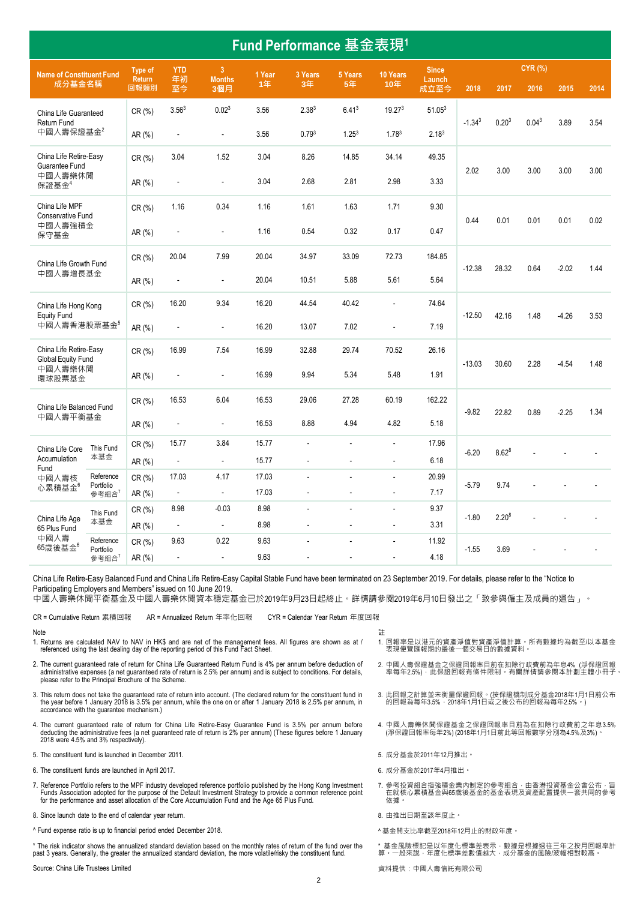| Fund Performance 基金表現1                       |                        |                |                   |                          |        |                   |                   |                    |                    |             |                   |                   |         |      |
|----------------------------------------------|------------------------|----------------|-------------------|--------------------------|--------|-------------------|-------------------|--------------------|--------------------|-------------|-------------------|-------------------|---------|------|
| <b>Name of Constituent Fund</b>              |                        | Type of        | <b>YTD</b>        | $\overline{3}$           | 1 Year | 3 Years           | 5 Years           | 10 Years           | <b>Since</b>       |             |                   | <b>CYR (%)</b>    |         |      |
| 成分基金名稱                                       |                        | Return<br>回報類別 | 年初<br>至今          | <b>Months</b><br>3個月     | 1年     | 3年                | 5年                | 10年                | Launch<br>成立至今     | 2018        | 2017              | 2016              | 2015    | 2014 |
| China Life Guaranteed<br>Return Fund         |                        | CR(%)          | 3.56 <sup>3</sup> | 0.02 <sup>3</sup>        | 3.56   | 2.38 <sup>3</sup> | 6.41 <sup>3</sup> | 19.27 <sup>3</sup> | 51.05 <sup>3</sup> | $-1.34^{3}$ | 0.20 <sup>3</sup> | 0.04 <sup>3</sup> | 3.89    | 3.54 |
| 中國人壽保證基金2                                    |                        | AR (%)         | ÷,                | $\overline{a}$           | 3.56   | 0.79 <sup>3</sup> | 1.25 <sup>3</sup> | 1.783              | 2.18 <sup>3</sup>  |             |                   |                   |         |      |
| China Life Retire-Easy<br>Guarantee Fund     |                        | CR(%)          | 3.04              | 1.52                     | 3.04   | 8.26              | 14.85             | 34.14              | 49.35              | 2.02        | 3.00              | 3.00              | 3.00    | 3.00 |
| 中國人壽樂休閒<br>保證基金4                             |                        | AR $(%)$       |                   | $\blacksquare$           | 3.04   | 2.68              | 2.81              | 2.98               | 3.33               |             |                   |                   |         |      |
| China Life MPF<br>Conservative Fund          |                        | CR(%)          | 1.16              | 0.34                     | 1.16   | 1.61              | 1.63              | 1.71               | 9.30               |             | 0.01              | 0.01              | 0.01    | 0.02 |
| 中國人壽強積金<br>保守基金                              |                        | AR (%)         | ÷                 | $\blacksquare$           | 1.16   | 0.54              | 0.32              | 0.17               | 0.47               | 0.44        |                   |                   |         |      |
| China Life Growth Fund                       |                        | CR (%)         | 20.04             | 7.99                     | 20.04  | 34.97             | 33.09             | 72.73              | 184.85             | $-12.38$    | 28.32             | 0.64              | $-2.02$ | 1.44 |
| 中國人壽增長基金                                     |                        | AR (%)         | ÷,                | $\bar{\phantom{a}}$      | 20.04  | 10.51             | 5.88              | 5.61               | 5.64               |             |                   |                   |         |      |
| China Life Hong Kong                         |                        | CR(%)          | 16.20             | 9.34                     | 16.20  | 44.54             | 40.42             | ä,                 | 74.64              | $-12.50$    | 42.16             | 1.48              | $-4.26$ | 3.53 |
| <b>Equity Fund</b><br>中國人壽香港股票基金5            |                        | AR (%)         | ÷,                | $\bar{\phantom{a}}$      | 16.20  | 13.07             | 7.02              |                    | 7.19               |             |                   |                   |         |      |
| China Life Retire-Easy<br>Global Equity Fund |                        | CR (%)         | 16.99             | 7.54                     | 16.99  | 32.88             | 29.74             | 70.52              | 26.16              | $-13.03$    |                   | 2.28              |         |      |
| 中國人壽樂休閒<br>環球股票基金                            |                        | AR (%)         | $\overline{a}$    | $\blacksquare$           | 16.99  | 9.94              | 5.34              | 5.48               | 1.91               |             | 30.60             |                   | $-4.54$ | 1.48 |
| China Life Balanced Fund                     |                        | CR(%)          | 16.53             | 6.04                     | 16.53  | 29.06             | 27.28             | 60.19              | 162.22             | $-9.82$     | 22.82             | 0.89              | $-2.25$ | 1.34 |
| 中國人壽平衡基金                                     |                        | AR $(%)$       | ÷,                | $\blacksquare$           | 16.53  | 8.88              | 4.94              | 4.82               | 5.18               |             |                   |                   |         |      |
| China Life Core                              | This Fund              | CR(%)          | 15.77             | 3.84                     | 15.77  | L.                | $\overline{a}$    | ä,                 | 17.96              | $-6.20$     | $8.62^{8}$        |                   |         |      |
| Accumulation<br>Fund                         | 本基金                    | AR (%)         | $\blacksquare$    | $\blacksquare$           | 15.77  | $\blacksquare$    | $\blacksquare$    | $\blacksquare$     | 6.18               |             |                   |                   |         |      |
| 中國人壽核                                        | Reference<br>Portfolio | CR (%)         | 17.03             | 4.17                     | 17.03  | L.                | $\overline{a}$    | ÷.                 | 20.99              | $-5.79$     | 9.74              |                   |         |      |
| 心累積基金6                                       | 參考組合 <sup>7</sup>      | AR (%)         | $\omega$          | $\omega$                 | 17.03  | L.                | L.                | $\blacksquare$     | 7.17               |             |                   |                   |         |      |
| China Life Age                               | This Fund              | CR(%)          | 8.98              | $-0.03$                  | 8.98   | L.                | $\overline{a}$    | $\overline{a}$     | 9.37               | $-1.80$     | $2.20^{8}$        |                   |         |      |
| 65 Plus Fund                                 | 本基金                    | AR (%)         | $\omega$          | $\mathbb{Z}^2$           | 8.98   | $\blacksquare$    | $\blacksquare$    | $\blacksquare$     | 3.31               |             |                   |                   |         |      |
| 中國人壽<br>$65$ 歲後基金 $6$                        | Reference<br>Portfolio | CR(%)          | 9.63              | 0.22                     | 9.63   |                   | $\overline{a}$    | $\overline{a}$     | 11.92              | $-1.55$     | 3.69              |                   |         |      |
|                                              | 參考組合 <sup>7</sup>      | AR (%)         | ÷                 | $\overline{\phantom{a}}$ | 9.63   |                   |                   |                    | 4.18               |             |                   |                   |         |      |

China Life Retire-Easy Balanced Fund and China Life Retire-Easy Capital Stable Fund have been terminated on 23 September 2019. For details, please refer to the "Notice to Participating Employers and Members" issued on 10 June 2019.

中國人壽樂休閒平衡基金及中國人壽樂休閒資本穩定基金已於2019年9月23日起終止。詳情請參閱2019年6月10日發出之「致參與僱主及成員的通告」。

CR = Cumulative Return 累積回報 AR = Annualized Return 年率化回報 CYR = Calendar Year Return 年度回報

#### Note

- 
- 1. Returns are calculated NAV to NAV in HK\$ and are net of the management fees. All figures are shown as at / referenced using the last dealing day of the reporting period of this Fund Fact Sheet.
- 2. The current guaranteed rate of return for China Life Guaranteed Return Fund is 4% per annum before deduction o<br>administrative expenses (a net guaranteed rate of return is 2.5% per annum) and is subject to conditions. Fo
- 3. This return does not take the guaranteed rate of return into account. (The declared return for the constituent fund in the year before 1 January 2018 is 3.5% per annum, while the one on or after 1 January 2018 is 2.5% per annum, in accordance with the guarantee mechanism.)
- 4. The current guaranteed rate of return for China Life Retire-Easy Guarantee Fund is 3.5% per annum before deducting the administrative fees (a net guaranteed rate of return is 2% per annum) (These figures before 1 January 2018 were 4.5% and 3% respectively).
- 5. The constituent fund is launched in December 2011. <br>
5. 成分基金於2011年12月推出。
- er The constituent funds are launched in April 2017. The constituent funds are launched in April 2017. The constituent funds are launched in April 2017. The constituent funds are launched in April 2017.
- 7. Reference Portfolio refers to the MPF industry developed reference portfolio published by the Hong Kong Investment Funds Association adopted for the purpose of the Default Investment Strategy to provide a common reference point<br>for the performance and asset allocation of the Core Accumulation Fund and the Age 65 Plus Fund.
- 8. Since launch date to the end of calendar year return. <br>8. 由推出日期至該年度止。
- ^ Fund expense ratio is up to financial period ended December 2018. <br> **A 基金開支比率截至2018年12月止的財政年度**。

\* The risk indicator shows the annualized standard deviation based on the monthly rates of return of the fund over the past 3 years. Generally, the greater the annualized standard deviation, the more volatile/risky the constituent fund.

Source: China Life Trustees Limited **the controlled to the controlled of the controlled of the controlled of the controlled team of the controlled of the controlled team of the controlled team of the controlled team of t** 

- 1. 回報率是以港元的資產淨值對資產淨值計算。所有數據均為截至/以本基金 表現便覽匯報期的最後一個交易日的數據資料。
- 2. 中國人壽保證基金之保證回報率目前在扣除行政費前為年息4% (淨保證回報 率每年2.5%),此保證回報有條件限制。有關詳情請參閱本計劃主體小冊子。
- 3. 此回報之計算並未衡量保證回報。(按保證機制成分基金2018年1月1日前公布 的回報之計并並水兩量休益日報 (该休益協商法分基金2019年17月1日
- 4. 中國人壽樂休閒保證基金之保證回報率目前為在扣除行政費前之年息3.5% (淨保證回報率每年2%) (2018年1月1日前此等回報數字分別為4.5%及3%)。
- 

註

- 
- 7. 參考投資組合指強積金業內制定的參考組合,由香港投資基金公會公布,旨<br> 在就核心累積基金與65歲後基金的基金表現及資產配置提供一套共同的參考 依據。
- 
- 

\* 基金風險標記是以年度化標準差表示 · 數據是根據過往三年之按月回報率計<br>算 · 一般來說 · 年度化標準差數值越大 · 成分基金的風險/波幅相對較高 ·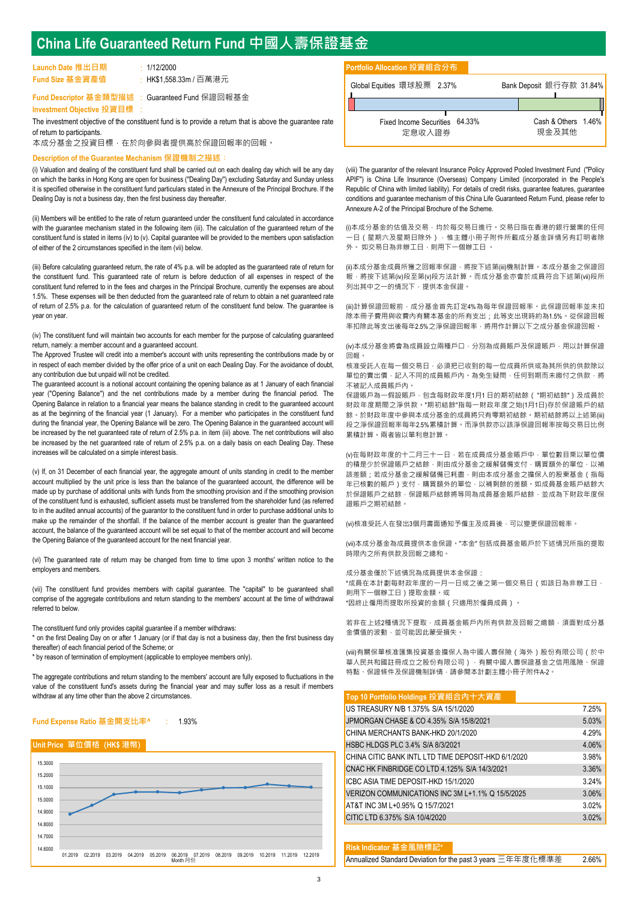# **China Life Guaranteed Return Fund 中國人壽保證基金**

| Launch Date 推出日期 | $\cdot$ 1/12/2000      |
|------------------|------------------------|
| Fund Size 基金資產值  | : HK\$1,558.33m / 百萬港元 |

**Fund Descriptor 基金類型描述** : Guaranteed Fund 保證回報基金

**Investment Objective 投資目標** :

The investment objective of the constituent fund is to provide a return that is above the guarantee rate of return to participants.

本成分基金之投資目標,在於向參與者提供高於保證回報率的回報。

#### **Description of the Guarantee Mechanism 保證機制之描述︰**

(i) Valuation and dealing of the constituent fund shall be carried out on each dealing day which will be any day on which the banks in Hong Kong are open for business (''Dealing Day'') excluding Saturday and Sunday unless it is specified otherwise in the constituent fund particulars stated in the Annexure of the Principal Brochure. If the Dealing Day is not a business day, then the first business day thereafter.

(ii) Members will be entitled to the rate of return guaranteed under the constituent fund calculated in accordance with the guarantee mechanism stated in the following item (iii). The calculation of the guaranteed return of the constituent fund is stated in items (iv) to (v). Capital guarantee will be provided to the members upon satisfaction of either of the 2 circumstances specified in the item (vii) below.

(iii) Before calculating guaranteed return, the rate of 4% p.a. will be adopted as the guaranteed rate of return for the constituent fund. This guaranteed rate of return is before deduction of all expenses in respect of the constituent fund referred to in the fees and charges in the Principal Brochure, currently the expenses are about 1.5%. These expenses will be then deducted from the guaranteed rate of return to obtain a net guaranteed rate of return of 2.5% p.a. for the calculation of guaranteed return of the constituent fund below. The guarantee is year on year.

(iv) The constituent fund will maintain two accounts for each member for the purpose of calculating guaranteed return, namely: a member account and a guaranteed account.

The Approved Trustee will credit into a member's account with units representing the contributions made by or in respect of each member divided by the offer price of a unit on each Dealing Day. For the avoidance of doubt, any contribution due but unpaid will not be credited.

The guaranteed account is a notional account containing the opening balance as at 1 January of each financial year (''Opening Balance'') and the net contributions made by a member during the financial period. The Opening Balance in relation to a financial year means the balance standing in credit to the guaranteed account as at the beginning of the financial year (1 January). For a member who participates in the constituent fund during the financial year, the Opening Balance will be zero. The Opening Balance in the guaranteed account will be increased by the net guaranteed rate of return of 2.5% p.a. in item (iii) above. The net contributions will also be increased by the net guaranteed rate of return of 2.5% p.a. on a daily basis on each Dealing Day. These increases will be calculated on a simple interest basis.

(v) If, on 31 December of each financial year, the aggregate amount of units standing in credit to the member account multiplied by the unit price is less than the balance of the guaranteed account, the difference will be made up by purchase of additional units with funds from the smoothing provision and if the smoothing provision of the constituent fund is exhausted, sufficient assets must be transferred from the shareholder fund (as referred to in the audited annual accounts) of the guarantor to the constituent fund in order to purchase additional units to make up the remainder of the shortfall. If the balance of the member account is greater than the guaranteed account, the balance of the guaranteed account will be set equal to that of the member account and will become the Opening Balance of the guaranteed account for the next financial year.

(vi) The guaranteed rate of return may be changed from time to time upon 3 months' written notice to the employers and members.

(vii) The constituent fund provides members with capital guarantee. The ''capital'' to be guaranteed shall comprise of the aggregate contributions and return standing to the members' account at the time of withdrawal referred to below.

The constituent fund only provides capital guarantee if a member withdraws:

\* on the first Dealing Day on or after 1 January (or if that day is not a business day, then the first business day thereafter) of each financial period of the Scheme; or

\* by reason of termination of employment (applicable to employee members only).

The aggregate contributions and return standing to the members' account are fully exposed to fluctuations in the value of the constituent fund's assets during the financial year and may suffer loss as a result if members withdraw at any time other than the above 2 circumstances.



#### **Unit Price 單位價格 (HK\$ 港幣)**



## **Portfolio Allocation 投資組合分布**

| Global Equities 環球股票 2.37%     | Bank Deposit 銀行存款 31.84% |
|--------------------------------|--------------------------|
| Fixed Income Securities 64.33% | Cash & Others 1.46%      |
| 定息收入證券                         | 現金及其他                    |

(viii) The guarantor of the relevant Insurance Policy Approved Pooled Investment Fund ("Policy APIF") is China Life Insurance (Overseas) Company Limited (incorporated in the People's Republic of China with limited liability). For details of credit risks, guarantee features, guarantee conditions and guarantee mechanism of this China Life Guaranteed Return Fund, please refer to Annexure A-2 of the Principal Brochure of the Scheme.

(i)本成分基金的估值及交易,均於每交易日進行。交易日指在香港的銀行營業的任何 .<br>-日(星期六及星期日除外) · 惟主體小冊子附件所載成分基金詳情另有訂明者除 外。 如交易日為非辦工日,則用下一個辦工日。

(ii)本成分基金成員所獲之回報率保證,將按下述第(iii)機制計算。本成分基金之保證回 。<br>報·將按下述第(iv)段至第(v)段方法計算。而成分基金亦會於成員符合下述第(vii)段所 列出其中之一的情況下,提供本金保證。

(iii)計算保證回報前,成分基金首先訂定4%為每年保證回報率。此保證回報率並未扣 除本冊子費用與收費內有關本基金的所有支出;此等支出現時約為1.5%。從保證回報 率扣除此等支出後每年2.5%之淨保證回報率,將用作計算以下之成分基金保證回報。

(iv)本成分基金將會為成員設立兩種戶口,分別為成員賬戶及保證賬戶,用以計算保證 回報。

核准受託人在每一個交易日,必須把已收到的每一位成員所供或為其所供的供款除以 單位的賣出價,記入不同的成員賬戶內。為免生疑問,任何到期而未繳付之供款,將 不被記入成員賬戶內。

保證賬戶為一假設賬戶,包含每財政年度1月1 日的期初結餘( ''期初結餘'')及成員於 財政年度期間之淨供款。''期初結餘''指每一財政年度之始(1月1日)存於保證賬戶的結 餘。於財政年度中參與本成分基金的成員將只有零期初結餘。期初結餘將以上述第(iii) 段之淨保證回報率每年2.5%累積計算。而淨供款亦以該淨保證回報率按每交易日比例 累積計算。兩者皆以單利息計算。

(v)在每財政年度的十二月三十一日,若在成員成分基金賬戶中,單位數目乘以單位價 的積是少於保證賬戶之結餘,則由成分基金之緩解儲備支付,購買額外的單位,以補 該差額;若成分基金之緩解儲備已耗盡,則由本成分基金之擔保人的股東基金(指每 年已核數的賬戶)支付,購買額外的單位,以補剩餘的差額。如成員基金賬戶結餘大 於保證賬戶之結餘,保證賬戶結餘將等同為成員基金賬戶結餘,並成為下財政年度保 證賬戶之期初結餘。

(vi)核准受託人在發出3個月書面通知予僱主及成員後,可以變更保證回報率。

(vii)本成分基金為成員提供本金保證。''本金'' 包括成員基金賬戶於下述情況所指的提取 時限內之所有供款及回報之總和。

成分基金僅於下述情況為成員提供本金保證: \*成員在本計劃每財政年度的一月一日或之後之第一個交易日(如該日為非辦工日, 則用下一個辦工日)提取金額。或 \*因終止僱用而提取所投資的金額(只適用於僱員成員)。

若非在上述2種情況下提取,成員基金賬戶內所有供款及回報之總額,須面對成分基 金價值的波動,並可能因此蒙受損失。

(viii)有關保單核准匯集投資基金擔保人為中國人壽保險(海外)股份有限公司(於中 華人民共和國註冊成立之股份有限公司),有關中國人壽保證基金之信用風險、保證 特點、保證條件及保證機制詳情,請參閱本計劃主體小冊子附件A-2。

#### **Top 10 Portfolio Holdings 投資組合內十大資產**

| US TREASURY N/B 1.375% S/A 15/1/2020                | 7.25% |
|-----------------------------------------------------|-------|
| JPMORGAN CHASE & CO 4.35% S/A 15/8/2021             | 5.03% |
| CHINA MERCHANTS BANK-HKD 20/1/2020                  | 4.29% |
| <b>HSBC HLDGS PLC 3.4% S/A 8/3/2021</b>             | 4.06% |
| CHINA CITIC BANK INTL LTD TIME DEPOSIT-HKD 6/1/2020 | 3.98% |
| CNAC HK FINBRIDGE CO LTD 4.125% S/A 14/3/2021       | 3.36% |
| ICBC ASIA TIME DEPOSIT-HKD 15/1/2020                | 3.24% |
| VERIZON COMMUNICATIONS INC 3M L+1.1% Q 15/5/2025    | 3.06% |
| AT&T INC 3M L+0.95% Q 15/7/2021                     | 3.02% |
| CITIC LTD 6.375% S/A 10/4/2020                      | 3.02% |
|                                                     |       |

### **Risk Indicator 基金風險標記\***

| Annualized Standard Deviation for the past 3 years 三年年度化標準差 |  |  |  | 2.66% |
|-------------------------------------------------------------|--|--|--|-------|
|-------------------------------------------------------------|--|--|--|-------|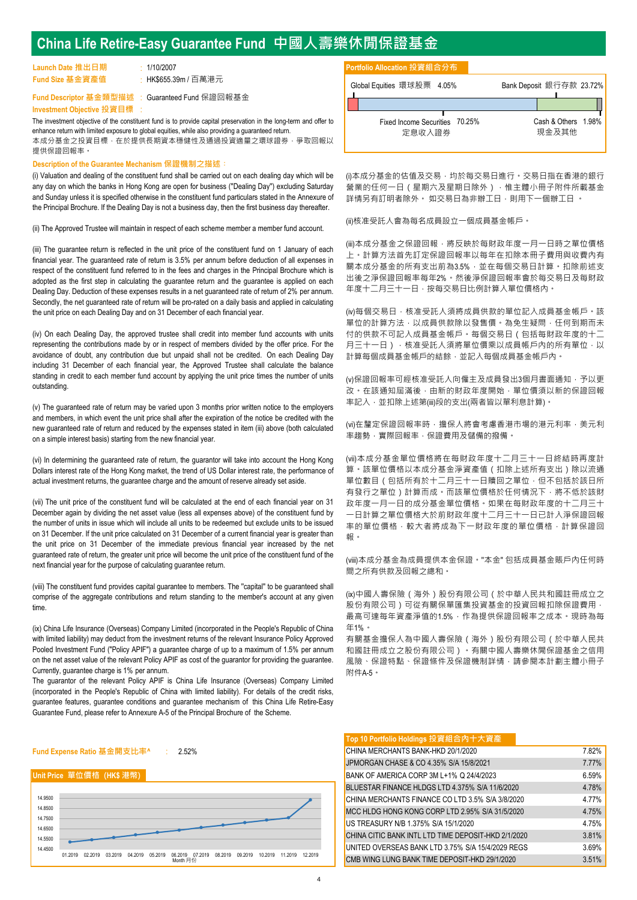# **China Life Retire-Easy Guarantee Fund 中國人壽樂休閒保證基金**

| Launch Date 推出日期 |  |
|------------------|--|
| Fund Size 基金資產值  |  |

HK\$655.39m / 百菓港元 **Launch Date 推出日期** 1/10/2007

:

The investment objective of the constituent fund is to provide capital preservation in the long-term and offer to enhance return with limited exposure to global equities, while also providing a guaranteed return. 本成分基金之投資目標,在於提供長期資本穩健性及通過投資適量之環球證券,爭取回報以 提供保證回報率。

#### **Description of the Guarantee Mechanism 保證機制之描述︰**

(i) Valuation and dealing of the constituent fund shall be carried out on each dealing day which will be any day on which the banks in Hong Kong are open for business (''Dealing Day'') excluding Saturday and Sunday unless it is specified otherwise in the constituent fund particulars stated in the Annexure of the Principal Brochure. If the Dealing Day is not a business day, then the first business day thereafter.

(ii) The Approved Trustee will maintain in respect of each scheme member a member fund account.

(iii) The guarantee return is reflected in the unit price of the constituent fund on 1 January of each financial year. The guaranteed rate of return is 3.5% per annum before deduction of all expenses in respect of the constituent fund referred to in the fees and charges in the Principal Brochure which is adopted as the first step in calculating the guarantee return and the guarantee is applied on each Dealing Day. Deduction of these expenses results in a net guaranteed rate of return of 2% per annum. Secondly, the net guaranteed rate of return will be pro-rated on a daily basis and applied in calculating the unit price on each Dealing Day and on 31 December of each financial year.

(iv) On each Dealing Day, the approved trustee shall credit into member fund accounts with units representing the contributions made by or in respect of members divided by the offer price. For the avoidance of doubt, any contribution due but unpaid shall not be credited. On each Dealing Day including 31 December of each financial year, the Approved Trustee shall calculate the balance standing in credit to each member fund account by applying the unit price times the number of units outstanding.

(v) The guaranteed rate of return may be varied upon 3 months prior written notice to the employers and members, in which event the unit price shall after the expiration of the notice be credited with the new guaranteed rate of return and reduced by the expenses stated in item (iii) above (both calculated on a simple interest basis) starting from the new financial year.

(vi) In determining the guaranteed rate of return, the guarantor will take into account the Hong Kong Dollars interest rate of the Hong Kong market, the trend of US Dollar interest rate, the performance of actual investment returns, the guarantee charge and the amount of reserve already set aside.

(vii) The unit price of the constituent fund will be calculated at the end of each financial year on 31 December again by dividing the net asset value (less all expenses above) of the constituent fund by the number of units in issue which will include all units to be redeemed but exclude units to be issued on 31 December. If the unit price calculated on 31 December of a current financial year is greater than the unit price on 31 December of the immediate previous financial year increased by the net guaranteed rate of return, the greater unit price will become the unit price of the constituent fund of the next financial year for the purpose of calculating guarantee return.

(viii) The constituent fund provides capital guarantee to members. The ''capital'' to be guaranteed shall comprise of the aggregate contributions and return standing to the member's account at any given time.

(ix) China Life Insurance (Overseas) Company Limited (incorporated in the People's Republic of China with limited liability) may deduct from the investment returns of the relevant Insurance Policy Approved Pooled Investment Fund ("Policy APIF") a guarantee charge of up to a maximum of 1.5% per annum on the net asset value of the relevant Policy APIF as cost of the guarantor for providing the guarantee. Currently, guarantee charge is 1% per annum.

The guarantor of the relevant Policy APIF is China Life Insurance (Overseas) Company Limited (incorporated in the People's Republic of China with limited liability). For details of the credit risks, guarantee features, guarantee conditions and guarantee mechanism of this China Life Retire-Easy Guarantee Fund, please refer to Annexure A-5 of the Principal Brochure of the Scheme.



#### **Unit Price 單位價格 (HK\$ 港幣)**



### **Portfolio Allocation 投資組合分布**

| Fund Size 基金資產值<br>HK\$655.39m / 百萬港元                                                                                                          | Global Equities 環球股票 4.05%     | Bank Deposit 銀行存款 23.72% |
|------------------------------------------------------------------------------------------------------------------------------------------------|--------------------------------|--------------------------|
| Fund Descriptor 基金類型描述 : Guaranteed Fund 保證回報基金 .                                                                                              |                                |                          |
| Investment Obiective 投資目標 :                                                                                                                    |                                |                          |
| The investment objective of the constituent fund is to provide capital preservation in the long-term and offer to                              | Fixed Income Securities 70.25% | Cash & Others 1.98%      |
| enhance return with limited exposure to global equities, while also providing a quaranteed return.<br>本成分基金之投資目標,在於提供長期資本穩健性及通過投資適量之環球證券,爭取回報以 | 定息收入證券                         | 現金及其他                    |

(i)本成分基金的估值及交易,均於每交易日進行。交易日指在香港的銀行 營業的任何一日 (星期六及星期日除外),惟主體小冊子附件所載基金 詳情另有訂明者除外。 如交易日為非辦工日,則用下一個辦工日 。

(ii)核准受託人會為每名成員設立一個成員基金帳戶。

(iii)本成分基金之保證回報,將反映於每財政年度一月一日時之單位價格 上。計算方法首先訂定保證回報率以每年在扣除本冊子費用與收費內有 關本成分基金的所有支出前為3.5%,並在每個交易日計算。扣除前述支 出後之淨保證回報率每年2%。然後淨保證回報率會於每交易日及每財政 年度十二月三十一日,按每交易日比例計算入單位價格內。

(iv)每個交易日,核准受託人須將成員供款的單位記入成員基金帳戶。該 軍位的計算方法,以成員供款除以發售價。為免生疑問,任何到期而未 付的供款不可記入成員基金帳戶。每個交易日(包括每財政年度的十二 月三十一日)·核准受託人須將單位價乘以成員帳戶內的所有單位,以 計算每個成員基金帳戶的結餘,並記入每個成員基金帳戶內。

(v)保證回報率可經核准受託人向僱主及成員發出3個月書面通知,予以更 改。在該通知屆滿後,由新的財政年度開始,單位價須以新的保證回報 率記入,並扣除上述第(iii)段的支出(兩者皆以單利息計算)。

(vi)在釐定保證回報率時,擔保人將會考慮香港市場的港元利率,美元利 率趨勢,實際回報率,保證費用及儲備的撥備。

(vii)本成分基金單位價格將在每財政年度十二月三十一日終結時再度計 算。該單位價格以本成分基金淨資產值(扣除上述所有支出)除以流通 單位數目(包括所有於十二月三十一日贖回之單位,但不包括於該日所 有發行之單位)計算而成。而該單位價格於任何情況下,將不低於該財 政年度一月一日的成分基金單位價格。如果在每財政年度的十二月三十 一日計算之單位價格大於前財政年度十二月三十一日已計入淨保證回報 率的單位價格,較大者將成為下一財政年度的單位價格,計算保證回 報。

(viii)本成分基金為成員提供本金保證。''本金'' 包括成員基金賬戶內任何時 間之所有供款及回報之總和。

(ix)中國人壽保險(海外)股份有限公司(於中華人民共和國註冊成立之 股份有限公司)可從有關保單匯集投資基金的投資回報扣除保證費用, 最高可達每年資產淨值的1.5%,作為提供保證回報率之成本。現時為每 年1%。

有關基金擔保人為中國人壽保險(海外)股份有限公司(於中華人民共 和國註冊成立之股份有限公司)。有關中國人壽樂休閒保證基金之信用 風險、保證特點、保證條件及保證機制詳情,請參閱本計劃主體小冊子 附件A-5。

### **Top 10 Portfolio Holdings 投資組合內十大資產**

| CHINA MERCHANTS BANK-HKD 20/1/2020                  | 7.82% |
|-----------------------------------------------------|-------|
| JPMORGAN CHASE & CO 4.35% S/A 15/8/2021             | 7.77% |
| BANK OF AMERICA CORP 3M L+1% Q 24/4/2023            | 6.59% |
| BLUESTAR FINANCE HLDGS LTD 4.375% S/A 11/6/2020     | 4.78% |
| CHINA MERCHANTS FINANCE CO LTD 3.5% S/A 3/8/2020    | 4.77% |
| MCC HLDG HONG KONG CORP LTD 2.95% S/A 31/5/2020     | 4.75% |
| US TREASURY N/B 1.375% S/A 15/1/2020                | 4.75% |
| CHINA CITIC BANK INTL LTD TIME DEPOSIT-HKD 2/1/2020 | 3.81% |
| UNITED OVERSEAS BANK LTD 3.75% S/A 15/4/2029 REGS   | 3.69% |
| CMB WING LUNG BANK TIME DEPOSIT-HKD 29/1/2020       | 3.51% |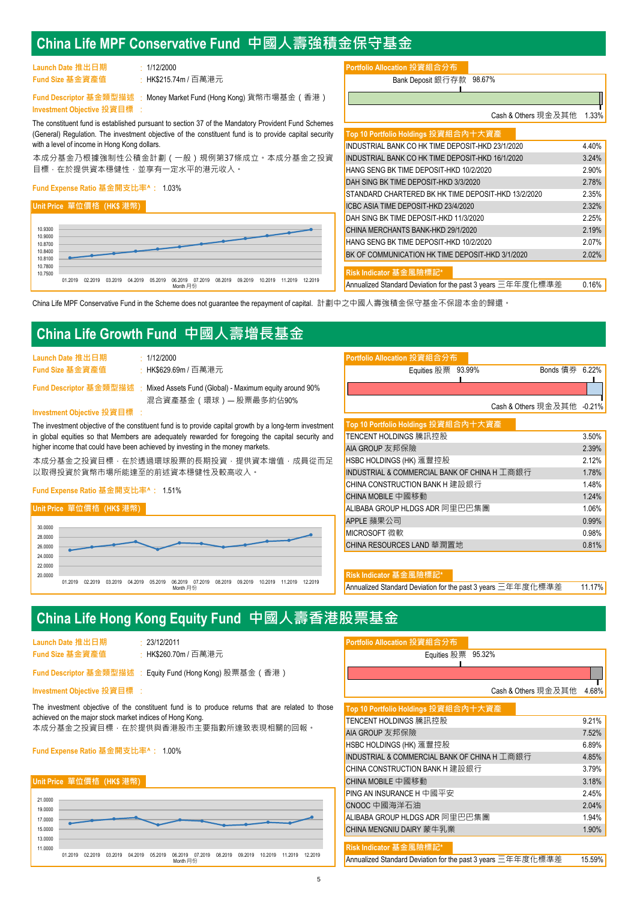# **China Life MPF Conservative Fund 中國人壽強積金保守基金**

| Launch Date 推出日期 | 1/12/2000   |
|------------------|-------------|
| Fund Size 基金資產值  | : HK\$215.7 |

**Investment Objective 投資目標** :

with a level of income in Hong Kong dollars.

Fund Descriptor 基金類型描述 ; Money Market Fund (Hong Kong) 貨幣市場基金(香港)

The constituent fund is established pursuant to section 37 of the Mandatory Provident Fund Schemes (General) Regulation. The investment objective of the constituent fund is to provide capital security

### **Portfolio Allocation 投資組合分布**

: Bank Deposit 銀行存款 **l Fund Size 基金資產值** HK\$215.74m / 百萬港元 98.67%

**l**<br>
Cash & Others 現金及其他 1.33%

| 目標,在於提供資本穩健性,並享有一定水平的港元收入。                                                |         |         |         |         |         |                     |         |         |         |         |         | 本成分基金乃根據強制性公積金計劃 ( 一般 ) 規例第37條成立。本成分基金之投資 |  |
|---------------------------------------------------------------------------|---------|---------|---------|---------|---------|---------------------|---------|---------|---------|---------|---------|-------------------------------------------|--|
| Fund Expense Ratio 基金開支比率^:  1.03%                                        |         |         |         |         |         |                     |         |         |         |         |         |                                           |  |
| Unit Price 單位價格 (HK\$ 港幣)                                                 |         |         |         |         |         |                     |         |         |         |         |         |                                           |  |
| 10.9300<br>10.9000<br>10.8700<br>10.8400<br>10.8100<br>10.7800<br>10.7500 |         |         |         |         |         |                     |         |         |         |         |         |                                           |  |
|                                                                           | 01 2019 | 02.2019 | 03.2019 | 04.2019 | 05.2019 | 06.2019<br>Month 月份 | 07.2019 | 08.2019 | 09.2019 | 10.2019 | 11.2019 | 12.2019                                   |  |

| Top 10 Portfolio Holdings 投資組合內十大資產                         |       |
|-------------------------------------------------------------|-------|
| INDUSTRIAL BANK CO HK TIME DEPOSIT-HKD 23/1/2020            | 4.40% |
| INDUSTRIAL BANK CO HK TIME DEPOSIT-HKD 16/1/2020            | 3.24% |
| HANG SENG BK TIME DEPOSIT-HKD 10/2/2020                     | 2.90% |
| DAH SING BK TIME DEPOSIT-HKD 3/3/2020                       | 2.78% |
| STANDARD CHARTERED BK HK TIME DEPOSIT-HKD 13/2/2020         | 2.35% |
| ICBC ASIA TIME DEPOSIT-HKD 23/4/2020                        | 2.32% |
| DAH SING BK TIME DEPOSIT-HKD 11/3/2020                      | 2.25% |
| CHINA MERCHANTS BANK-HKD 29/1/2020                          | 2.19% |
| HANG SENG BK TIME DEPOSIT-HKD 10/2/2020                     | 2.07% |
| BK OF COMMUNICATION HK TIME DEPOSIT-HKD 3/1/2020            | 2.02% |
| Risk Indicator 基金風險標記*                                      |       |
| Annualized Standard Deviation for the past 3 years 三年年度化標準差 | 0.16% |

China Life MPF Conservative Fund in the Scheme does not guarantee the repayment of capital. 計劃中之中國人壽強積金保守基金不保證本金的歸還。

# **China Life Growth Fund 中國人壽增長基金**

| Launch Date 推出日期 | : 1/12/2000 |
|------------------|-------------|
| Fund Size 基金資產值  | : HK\$629.6 |

本成分基金之投資目標,在於透過環球股票的長期投資,提供資本增值,成員從而足 以取得投資於貨幣市場所能達至的前述資本穩健性及較高收入。

### **Fund Expense Ratio 基金開支比率^:** 1.51%



| Launch Date 推出日期<br>$\cdot$ 1/12/2000                                                                    | Portfolio Allocation 投資組合分布         |                            |       |
|----------------------------------------------------------------------------------------------------------|-------------------------------------|----------------------------|-------|
| Fund Size 基金資產值<br>:HK\$629.69m / 百萬港元                                                                   | Equities 股票 93.99%                  | Bonds 債券 6.22%             |       |
| Fund Descriptor 基金類型描述 : Mixed Assets Fund (Global) - Maximum equity around 90%<br>混合資產基金(環球)— 股票最多約佔90% |                                     |                            |       |
| Investment Objective 投資目標 :                                                                              |                                     | Cash & Others 現金及其他 -0.21% |       |
| The investment objective of the constituent fund is to provide capital growth by a long-term investment  | Top 10 Portfolio Holdings 投資組合內十大資產 |                            |       |
| in global equities so that Members are adequately rewarded for foregoing the capital security and        | TENCENT HOLDINGS 騰訊控股               |                            | 3.50% |
| higher income that could have been achieved by investing in the money markets.                           | AIA GROUP 友邦保險                      |                            | 2.39% |

| TENCENT HOLDINGS 騰訊控股                        | 3.50% |
|----------------------------------------------|-------|
| AIA GROUP 友邦保險                               | 2.39% |
| HSBC HOLDINGS (HK) 滙豐控股                      | 2.12% |
| INDUSTRIAL & COMMERCIAL BANK OF CHINA H 工商銀行 | 1.78% |
| <b>CHINA CONSTRUCTION BANK H</b> 建設銀行        | 1.48% |
| CHINA MOBILE 中國移動                            | 1.24% |
| ALIBABA GROUP HLDGS ADR 阿里巴巴集團               | 1.06% |
| APPLE 蘋果公司                                   | 0.99% |
| MICROSOFT 微軟                                 | 0.98% |
| CHINA RESOURCES LAND 華潤置地                    | 0.81% |

#### $\overline{\textbf{R}}$  isk Indicator 基金風險標

Annualized Standard Deviation for the past 3 years 三年年度化標準差 11.17%

# **China Life Hong Kong Equity Fund 中國人壽香港股票基金**

| Launch Date 推出日期 |  |
|------------------|--|
| Fund Size 基金資產值  |  |

**Launch Date 推出日期** 23/12/2011

:

#### **Investment Objective 投資目標** :

#### **Unit Price 單位價格 (HK\$ 港幣)**



| Portfolio Allocation 投資組合分布 |  |
|-----------------------------|--|

| Fund Size 基金資產值<br>・HK\$260.70m / 百萬港元                                                           | Equities 股票 95.32%                           |       |
|--------------------------------------------------------------------------------------------------|----------------------------------------------|-------|
| Fund Descriptor 基金類型描述 : Equity Fund (Hong Kong) 股票基金(香港)                                        |                                              |       |
| Investment Objective 投資目標 :                                                                      | Cash & Others 現金及其他                          | 4.68% |
| The investment objective of the constituent fund is to produce returns that are related to those | Top 10 Portfolio Holdings 投資組合內十大資產          |       |
| achieved on the major stock market indices of Hong Kong.                                         | TENCENT HOLDINGS 騰訊控股                        | 9.21% |
| 本成分基金之投資目標,在於提供與香港股市主要指數所達致表現相關的回報。                                                              | AIA GROUP 友邦保險                               | 7.52% |
| Fund Expense Ratio 基金開支比率^: 1.00%                                                                | <b>HSBC HOLDINGS (HK) 滙豐控股</b>               | 6.89% |
|                                                                                                  | INDUSTRIAL & COMMERCIAL BANK OF CHINA H 工商銀行 | 4.85% |
|                                                                                                  | <b>CHINA CONSTRUCTION BANK H 建設銀行</b>        | 3.79% |

| LATINA CONSTRUCTION DANN FI X≢ 57 ®K1 L                     | 7.77%  |
|-------------------------------------------------------------|--------|
| CHINA MOBILE 中國移動                                           | 3.18%  |
| $PING AN IN SURANCE H  \oplus \Box \Psi \nleftrightarrow$   | 2.45%  |
| CNOOC 中國海洋石油                                                | 2.04%  |
| ALIBABA GROUP HLDGS ADR 阿里巴巴集團                              | 1.94%  |
| CHINA MENGNIU DAIRY 蒙牛乳業                                    | 1.90%  |
|                                                             |        |
| Risk Indicator 基金風險標記*                                      |        |
| Annualized Standard Deviation for the past 3 years 三年年度化標準差 | 15.59% |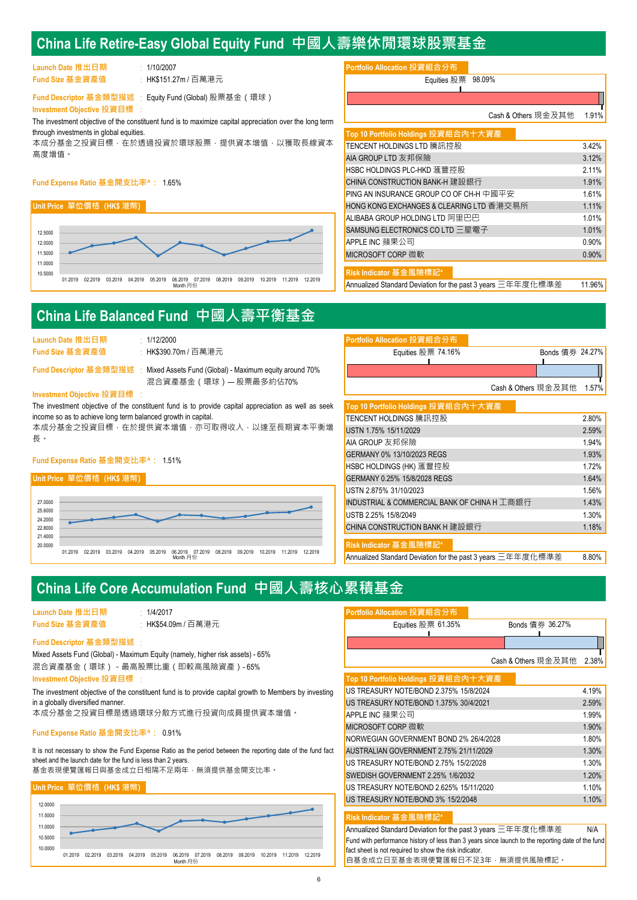# **China Life Retire-Easy Global Equity Fund 中國人壽樂休閒環球股票基金**

| Launch Date 推出日期 | 1/10/2007   |
|------------------|-------------|
| Fund Size 基金資產值  | : HK\$151.2 |

### **Fund Expense Ratio 基金開支比率^:** 1.65%

### **Unit Price 單位價格 (HK\$ 港幣)**



| Portfolio Allocation 投資組合分布 |  |
|-----------------------------|--|
|                             |  |
|                             |  |

| Fund Size 基金資產值<br>:HK\$151.27m / 百萬港元                                                                                                 | Equities 股票 98.09%                       |          |
|----------------------------------------------------------------------------------------------------------------------------------------|------------------------------------------|----------|
| Fund Descriptor 基金類型描述 : Equity Fund (Global) 股票基金(環球)                                                                                 |                                          |          |
| Investment Objective 投資目標 :<br>The investment objective of the constituent fund is to maximize capital appreciation over the long term | Cash & Others 現金及其他                      | 1.91%    |
| through investments in global equities.                                                                                                | Top 10 Portfolio Holdings 投資組合內十大資產      |          |
| 本成分基金之投資目標,在於透過投資於環球股票,提供資本增值,以獲取長線資本                                                                                                  | TENCENT HOLDINGS LTD 騰訊控股                | 3.42%    |
| 高度增值。                                                                                                                                  | AIA GROUP LTD 友邦保險                       | 3.12%    |
|                                                                                                                                        | HSBC HOLDINGS PLC-HKD 滙豐控股               | 2.11%    |
| Fund Expense Ratio 基金開支比率^: 1.65%                                                                                                      | <b>CHINA CONSTRUCTION BANK-H 建設銀行</b>    | 1.91%    |
|                                                                                                                                        | PING AN INSURANCE GROUP CO OF CH-H 中國平安  | 1.61%    |
| Unit Price 單位價格 (HK\$ 港幣)                                                                                                              | HONG KONG EXCHANGES & CLEARING LTD 香港交易所 | 1.11%    |
|                                                                                                                                        | ALIBABA GROUP HOLDING LTD 阿里巴巴           | 1.01%    |
| 12.5000                                                                                                                                | SAMSUNG ELECTRONICS CO LTD 三星電子          | 1.01%    |
| 12.0000                                                                                                                                | APPLE INC 蘋果公司                           | $0.90\%$ |
| 11.5000                                                                                                                                | <b>MICROSOFT CORP 微軟</b>                 | 0.90%    |
| 11,0000<br>10.5000                                                                                                                     | Risk Indicator 基金風險標記*                   |          |

Annualized Standard Deviation for the past 3 years 三年年度化標準差 11.96%

# **China Life Balanced Fund 中國人壽平衡基金**

| Launch Date 推出日期 | 1/12/2000 |
|------------------|-----------|
| Fund Size 基金資產值  | HK\$390.7 |

## Fund Descriptor 基金類型描述 : Mixed Assets Fund (Global) - Maximum equity around 70%

#### **Investment Objective 投資目標** :

### **Fund Expense Ratio 基金開支比率^:** 1.51%

#### **Unit Price 單位價格 (HK\$ 港幣)**



| Fund Size 基金資產值<br>· HK\$390.70m / 百萬港元                                                             | Equities 股票 74.16%                           | Bonds 債券 24.27% |       |
|-----------------------------------------------------------------------------------------------------|----------------------------------------------|-----------------|-------|
| Fund Descriptor 基金類型描述 : Mixed Assets Fund (Global) - Maximum equity around 70%                     |                                              |                 |       |
| 混合資產基金 (環球)— 股票最多約佔70%<br>Investment Objective 投資目標 :                                               | Cash & Others 現金及其他                          |                 | 1.57% |
| The investment objective of the constituent fund is to provide capital appreciation as well as seek | Top 10 Portfolio Holdings 投資組合內十大資產          |                 |       |
| income so as to achieve long term balanced growth in capital.                                       | TENCENT HOLDINGS 騰訊控股                        |                 | 2.80% |
| 本成分基金之投資目標,在於提供資本增值,亦可取得收入,以達至長期資本平衡增                                                               | USTN 1.75% 15/11/2029                        |                 | 2.59% |
| 長。                                                                                                  | AIA GROUP 友邦保險                               |                 | 1.94% |
| Fund Expense Ratio 基金開支比率^: 1.51%                                                                   | GERMANY 0% 13/10/2023 REGS                   |                 | 1.93% |
|                                                                                                     | <b>HSBC HOLDINGS (HK) 滙豐控股</b>               |                 | 1.72% |
| Unit Price 單位價格 (HK\$ 港幣)                                                                           | GERMANY 0.25% 15/8/2028 REGS                 |                 | 1.64% |
|                                                                                                     | USTN 2.875% 31/10/2023                       |                 | 1.56% |
| 27,0000                                                                                             | INDUSTRIAL & COMMERCIAL BANK OF CHINA H 工商銀行 |                 | 1.43% |
| 25.6000<br>24.2000                                                                                  | USTB 2.25% 15/8/2049                         |                 | 1.30% |
| 22.8000                                                                                             | <b>CHINA CONSTRUCTION BANK H 建設銀行</b>        |                 | 1.18% |
| 21,4000                                                                                             |                                              |                 |       |

**Risk Indicator 基金風險標記\***

**Portfolio Allocation 投資組合分布**

Annualized Standard Deviation for the past 3 years 三年年度化標準差 8.80%

# **China Life Core Accumulation Fund 中國人壽核心累積基金**

| Launch Date 推出日期 | 1/4/2017   |
|------------------|------------|
| Fund Size 基金資產值  | : HK\$54.0 |

#### : **Fund Descriptor 基金類型描述**

#### **Fund Expense Ratio 基金開支比率^:** 0.91%

### **Unit Price 單位價格 (HK\$ 港幣)**



| Launch Date 推出日期                                                                                                  | : 1/4/2017                        | Portfolio Allocation 投資組合分布                                 |                     |          |
|-------------------------------------------------------------------------------------------------------------------|-----------------------------------|-------------------------------------------------------------|---------------------|----------|
| Fund Size 基金資產值                                                                                                   | : HK\$54.09m / 百萬港元               | Equities 股票 $61.35%$                                        | Bonds 債券 36.27%     |          |
| Fund Descriptor 基金類型描述 :                                                                                          |                                   |                                                             |                     |          |
| Mixed Assets Fund (Global) - Maximum Equity (namely, higher risk assets) - 65%<br>混合資產基金(環球)-最高股票比重(即較高風險資產)- 65% |                                   |                                                             | Cash & Others 現金及其他 | $2.38\%$ |
| Investment Objective 投資目標 :                                                                                       |                                   | Top 10 Portfolio Holdings 投資組合內十大資產                         |                     |          |
| The investment objective of the constituent fund is to provide capital growth to Members by investing             |                                   | US TREASURY NOTE/BOND 2.375% 15/8/2024                      |                     | 4.19%    |
| in a globally diversified manner.                                                                                 |                                   | US TREASURY NOTE/BOND 1.375% 30/4/2021                      |                     | 2.59%    |
|                                                                                                                   | 本成分基金之投資目標是透過環球分散方式進行投資向成員提供資本增值。 | APPLE INC 蘋果公司                                              |                     | 1.99%    |
| Fund Expense Ratio 基金開支比率^:  0.91%                                                                                |                                   | MICROSOFT CORP 微軟                                           |                     | 1.90%    |
|                                                                                                                   |                                   | NORWEGIAN GOVERNMENT BOND 2% 26/4/2028                      |                     | 1.80%    |
| It is not necessary to show the Fund Expense Ratio as the period between the reporting date of the fund fact      |                                   | AUSTRALIAN GOVERNMENT 2.75% 21/11/2029                      |                     | 1.30%    |
| sheet and the launch date for the fund is less than 2 years.                                                      |                                   | US TREASURY NOTE/BOND 2.75% 15/2/2028                       |                     | $1.30\%$ |
|                                                                                                                   | 基金表現便覽匯報日與基金成立日相隔不足兩年,無須提供基金開支比率。 | SWEDISH GOVERNMENT 2.25% 1/6/2032                           |                     | 1.20%    |
| Unit Price 單位價格 (HK\$ 港幣)                                                                                         |                                   | US TREASURY NOTE/BOND 2.625% 15/11/2020                     |                     | $1.10\%$ |
| 12,0000                                                                                                           |                                   | US TREASURY NOTE/BOND 3% 15/2/2048                          |                     | 1.10%    |
| 11,5000                                                                                                           |                                   | Risk Indicator 基金風險標記*                                      |                     |          |
| 11,0000                                                                                                           |                                   | Annualized Standard Deviation for the past 3 years 三年年度化標準差 |                     | N/A      |

Fund with performance history of less than 3 years since launch to the reporting date of the fund

自基金成立日至基金表現便覽匯報日不足3年,無須提供風險標記。

fact sheet is not required to show the risk indicator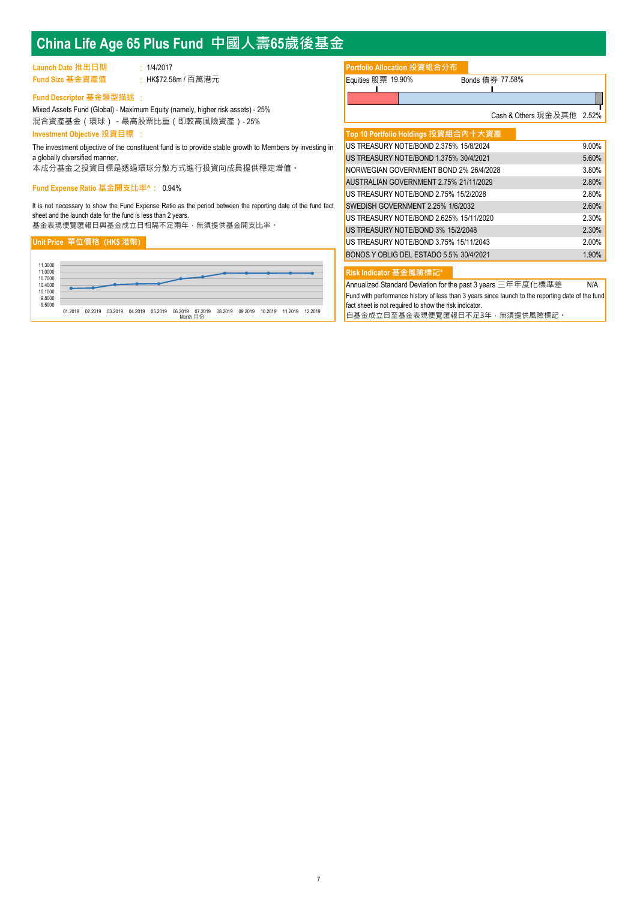# **China Life Age 65 Plus Fund 中國人壽65歲後基金**

| Launch Date 推出日期 | 1/4/2017          | Portfolio Allocation 投資組合分布 |                 |
|------------------|-------------------|-----------------------------|-----------------|
| Fund Size 基金資產值  | HK\$72.58m / 百萬港元 | Equities 股票 19.90%          | Bonds 債券 77.58% |

## : **Fund Descriptor 基金類型描述**

: Mixed Assets Fund (Global) - Maximum Equity (namely, higher risk assets) - 25% 混合資產基金(環球)-最高股票比重(即較高風險資產)- 25% **Investment Objective 投資目標**

The investment objective of the constituent fund is to provide stable growth to Members by investing in a globally diversified manner.

本成分基金之投資目標是透過環球分散方式進行投資向成員提供穩定增值。

#### **Fund Expense Ratio 基金開支比率^:** 0.94%

It is not necessary to show the Fund Expense Ratio as the period between the reporting date of the fund fact sheet and the launch date for the fund is less than 2 years.

基金表現便覽匯報日與基金成立日相隔不足兩年,無須提供基金開支比率。

#### **Unit Price 單位價格 (HK\$ 港幣)**



## **Portfolio Allocation 投資組合分布**

| Equities 股票 19.90% | Bonds 債 |  |
|--------------------|---------|--|
|                    |         |  |
|                    |         |  |

ー<br>Cash & Others 現金及其他 2.52%

| Top 10 Portfolio Holdings 投資組合內十大資產     |          |
|-----------------------------------------|----------|
| US TREASURY NOTE/BOND 2.375% 15/8/2024  | $9.00\%$ |
| US TREASURY NOTE/BOND 1.375% 30/4/2021  | 5.60%    |
| NORWEGIAN GOVERNMENT BOND 2% 26/4/2028  | 3.80%    |
| AUSTRALIAN GOVERNMENT 2.75% 21/11/2029  | 2.80%    |
| US TREASURY NOTE/BOND 2.75% 15/2/2028   | 2.80%    |
| SWEDISH GOVERNMENT 2.25% 1/6/2032       | 2.60%    |
| US TREASURY NOTE/BOND 2.625% 15/11/2020 | 2.30%    |
| US TREASURY NOTE/BOND 3% 15/2/2048      | 2.30%    |
| US TREASURY NOTE/BOND 3.75% 15/11/2043  | 2.00%    |
| BONOS Y OBLIG DEL ESTADO 5.5% 30/4/2021 | 1.90%    |
|                                         |          |

**Risk Indicator 基金風險標記\***

Annualized Standard Deviation for the past 3 years 三年年度化標準差 N/A Fund with performance history of less than 3 years since launch to the reporting date of the fund fact sheet is not required to show the risk indicator 自基金成立日至基金表現便覽匯報日不足3年,無須提供風險標記。